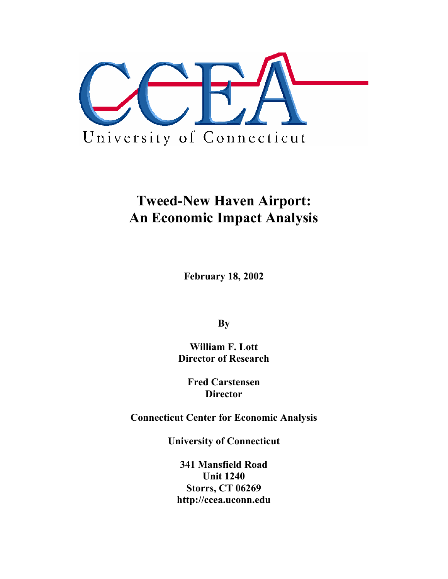

# **Tweed-New Haven Airport: An Economic Impact Analysis**

**February 18, 2002** 

**By** 

**William F. Lott Director of Research** 

**Fred Carstensen Director** 

**Connecticut Center for Economic Analysis** 

**University of Connecticut** 

**341 Mansfield Road Unit 1240 Storrs, CT 06269 http://ccea.uconn.edu**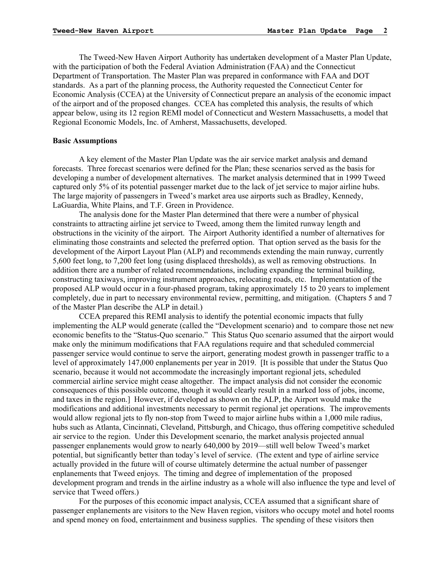The Tweed-New Haven Airport Authority has undertaken development of a Master Plan Update, with the participation of both the Federal Aviation Administration (FAA) and the Connecticut Department of Transportation. The Master Plan was prepared in conformance with FAA and DOT standards. As a part of the planning process, the Authority requested the Connecticut Center for Economic Analysis (CCEA) at the University of Connecticut prepare an analysis of the economic impact of the airport and of the proposed changes. CCEA has completed this analysis, the results of which appear below, using its 12 region REMI model of Connecticut and Western Massachusetts, a model that Regional Economic Models, Inc. of Amherst, Massachusetts, developed.

#### **Basic Assumptions**

A key element of the Master Plan Update was the air service market analysis and demand forecasts. Three forecast scenarios were defined for the Plan; these scenarios served as the basis for developing a number of development alternatives. The market analysis determined that in 1999 Tweed captured only 5% of its potential passenger market due to the lack of jet service to major airline hubs. The large majority of passengers in Tweed's market area use airports such as Bradley, Kennedy, LaGuardia, White Plains, and T.F. Green in Providence.

The analysis done for the Master Plan determined that there were a number of physical constraints to attracting airline jet service to Tweed, among them the limited runway length and obstructions in the vicinity of the airport. The Airport Authority identified a number of alternatives for eliminating those constraints and selected the preferred option. That option served as the basis for the development of the Airport Layout Plan (ALP) and recommends extending the main runway, currently 5,600 feet long, to 7,200 feet long (using displaced thresholds), as well as removing obstructions. In addition there are a number of related recommendations, including expanding the terminal building, constructing taxiways, improving instrument approaches, relocating roads, etc. Implementation of the proposed ALP would occur in a four-phased program, taking approximately 15 to 20 years to implement completely, due in part to necessary environmental review, permitting, and mitigation. (Chapters 5 and 7 of the Master Plan describe the ALP in detail.)

 CCEA prepared this REMI analysis to identify the potential economic impacts that fully implementing the ALP would generate (called the "Development scenario) and to compare those net new economic benefits to the "Status-Quo scenario." This Status Quo scenario assumed that the airport would make only the minimum modifications that FAA regulations require and that scheduled commercial passenger service would continue to serve the airport, generating modest growth in passenger traffic to a level of approximately 147,000 enplanements per year in 2019. [It is possible that under the Status Quo scenario, because it would not accommodate the increasingly important regional jets, scheduled commercial airline service might cease altogether. The impact analysis did not consider the economic consequences of this possible outcome, though it would clearly result in a marked loss of jobs, income, and taxes in the region.] However, if developed as shown on the ALP, the Airport would make the modifications and additional investments necessary to permit regional jet operations. The improvements would allow regional jets to fly non-stop from Tweed to major airline hubs within a 1,000 mile radius, hubs such as Atlanta, Cincinnati, Cleveland, Pittsburgh, and Chicago, thus offering competitive scheduled air service to the region. Under this Development scenario, the market analysis projected annual passenger enplanements would grow to nearly 640,000 by 2019—still well below Tweed's market potential, but significantly better than today's level of service. (The extent and type of airline service actually provided in the future will of course ultimately determine the actual number of passenger enplanements that Tweed enjoys. The timing and degree of implementation of the proposed development program and trends in the airline industry as a whole will also influence the type and level of service that Tweed offers.)

 For the purposes of this economic impact analysis, CCEA assumed that a significant share of passenger enplanements are visitors to the New Haven region, visitors who occupy motel and hotel rooms and spend money on food, entertainment and business supplies. The spending of these visitors then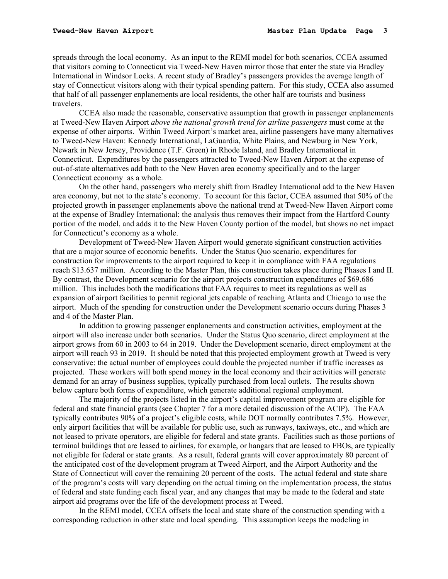spreads through the local economy. As an input to the REMI model for both scenarios, CCEA assumed that visitors coming to Connecticut via Tweed-New Haven mirror those that enter the state via Bradley International in Windsor Locks. A recent study of Bradley's passengers provides the average length of stay of Connecticut visitors along with their typical spending pattern. For this study, CCEA also assumed that half of all passenger enplanements are local residents, the other half are tourists and business travelers.

 CCEA also made the reasonable, conservative assumption that growth in passenger enplanements at Tweed-New Haven Airport *above the national growth trend for airline passengers* must come at the expense of other airports. Within Tweed Airport's market area, airline passengers have many alternatives to Tweed-New Haven: Kennedy International, LaGuardia, White Plains, and Newburg in New York, Newark in New Jersey, Providence (T.F. Green) in Rhode Island, and Bradley International in Connecticut. Expenditures by the passengers attracted to Tweed-New Haven Airport at the expense of out-of-state alternatives add both to the New Haven area economy specifically and to the larger Connecticut economy as a whole.

 On the other hand, passengers who merely shift from Bradley International add to the New Haven area economy, but not to the state's economy. To account for this factor, CCEA assumed that 50% of the projected growth in passenger enplanements above the national trend at Tweed-New Haven Airport come at the expense of Bradley International; the analysis thus removes their impact from the Hartford County portion of the model, and adds it to the New Haven County portion of the model, but shows no net impact for Connecticut's economy as a whole.

 Development of Tweed-New Haven Airport would generate significant construction activities that are a major source of economic benefits. Under the Status Quo scenario, expenditures for construction for improvements to the airport required to keep it in compliance with FAA regulations reach \$13.637 million. According to the Master Plan, this construction takes place during Phases I and II. By contrast, the Development scenario for the airport projects construction expenditures of \$69.686 million. This includes both the modifications that FAA requires to meet its regulations as well as expansion of airport facilities to permit regional jets capable of reaching Atlanta and Chicago to use the airport. Much of the spending for construction under the Development scenario occurs during Phases 3 and 4 of the Master Plan.

 In addition to growing passenger enplanements and construction activities, employment at the airport will also increase under both scenarios. Under the Status Quo scenario, direct employment at the airport grows from 60 in 2003 to 64 in 2019. Under the Development scenario, direct employment at the airport will reach 93 in 2019. It should be noted that this projected employment growth at Tweed is very conservative: the actual number of employees could double the projected number if traffic increases as projected. These workers will both spend money in the local economy and their activities will generate demand for an array of business supplies, typically purchased from local outlets. The results shown below capture both forms of expenditure, which generate additional regional employment.

 The majority of the projects listed in the airport's capital improvement program are eligible for federal and state financial grants (see Chapter 7 for a more detailed discussion of the ACIP). The FAA typically contributes 90% of a project's eligible costs, while DOT normally contributes 7.5%. However, only airport facilities that will be available for public use, such as runways, taxiways, etc., and which are not leased to private operators, are eligible for federal and state grants. Facilities such as those portions of terminal buildings that are leased to airlines, for example, or hangars that are leased to FBOs, are typically not eligible for federal or state grants. As a result, federal grants will cover approximately 80 percent of the anticipated cost of the development program at Tweed Airport, and the Airport Authority and the State of Connecticut will cover the remaining 20 percent of the costs. The actual federal and state share of the program's costs will vary depending on the actual timing on the implementation process, the status of federal and state funding each fiscal year, and any changes that may be made to the federal and state airport aid programs over the life of the development process at Tweed.

 In the REMI model, CCEA offsets the local and state share of the construction spending with a corresponding reduction in other state and local spending. This assumption keeps the modeling in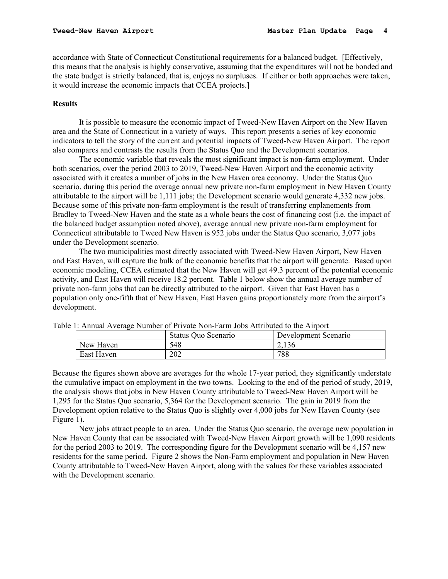accordance with State of Connecticut Constitutional requirements for a balanced budget. [Effectively, this means that the analysis is highly conservative, assuming that the expenditures will not be bonded and the state budget is strictly balanced, that is, enjoys no surpluses. If either or both approaches were taken, it would increase the economic impacts that CCEA projects.]

#### **Results**

It is possible to measure the economic impact of Tweed-New Haven Airport on the New Haven area and the State of Connecticut in a variety of ways. This report presents a series of key economic indicators to tell the story of the current and potential impacts of Tweed-New Haven Airport. The report also compares and contrasts the results from the Status Quo and the Development scenarios.

The economic variable that reveals the most significant impact is non-farm employment. Under both scenarios, over the period 2003 to 2019, Tweed-New Haven Airport and the economic activity associated with it creates a number of jobs in the New Haven area economy. Under the Status Quo scenario, during this period the average annual new private non-farm employment in New Haven County attributable to the airport will be 1,111 jobs; the Development scenario would generate 4,332 new jobs. Because some of this private non-farm employment is the result of transferring enplanements from Bradley to Tweed-New Haven and the state as a whole bears the cost of financing cost (i.e. the impact of the balanced budget assumption noted above), average annual new private non-farm employment for Connecticut attributable to Tweed New Haven is 952 jobs under the Status Quo scenario, 3,077 jobs under the Development scenario.

 The two municipalities most directly associated with Tweed-New Haven Airport, New Haven and East Haven, will capture the bulk of the economic benefits that the airport will generate. Based upon economic modeling, CCEA estimated that the New Haven will get 49.3 percent of the potential economic activity, and East Haven will receive 18.2 percent. Table 1 below show the annual average number of private non-farm jobs that can be directly attributed to the airport. Given that East Haven has a population only one-fifth that of New Haven, East Haven gains proportionately more from the airport's development.

|            | o 1. Annual Avoiago Funnool of Filvalo Fioli I ann Joob Authouted to the Ampoly |                      |
|------------|---------------------------------------------------------------------------------|----------------------|
|            | Status Quo Scenario                                                             | Development Scenario |
| New Haven  | 548                                                                             |                      |
| East Haven | 202                                                                             | 788                  |

Table 1: Annual Average Number of Private Non-Farm Jobs Attributed to the Airport

Because the figures shown above are averages for the whole 17-year period, they significantly understate the cumulative impact on employment in the two towns. Looking to the end of the period of study, 2019, the analysis shows that jobs in New Haven County attributable to Tweed-New Haven Airport will be 1,295 for the Status Quo scenario, 5,364 for the Development scenario. The gain in 2019 from the Development option relative to the Status Quo is slightly over 4,000 jobs for New Haven County (see Figure 1).

 New jobs attract people to an area. Under the Status Quo scenario, the average new population in New Haven County that can be associated with Tweed-New Haven Airport growth will be 1,090 residents for the period 2003 to 2019. The corresponding figure for the Development scenario will be 4,157 new residents for the same period. Figure 2 shows the Non-Farm employment and population in New Haven County attributable to Tweed-New Haven Airport, along with the values for these variables associated with the Development scenario.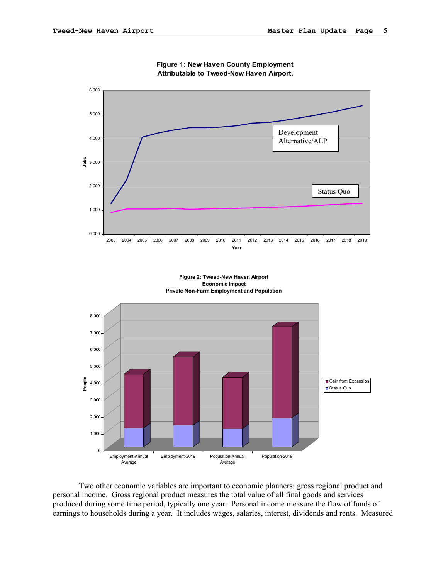

**Figure 1: New Haven County Employment Attributable to Tweed-New Haven Airport.**

Two other economic variables are important to economic planners: gross regional product and personal income. Gross regional product measures the total value of all final goods and services produced during some time period, typically one year. Personal income measure the flow of funds of earnings to households during a year. It includes wages, salaries, interest, dividends and rents. Measured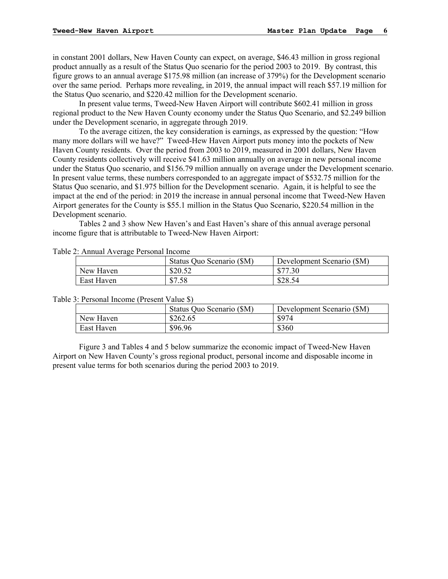in constant 2001 dollars, New Haven County can expect, on average, \$46.43 million in gross regional product annually as a result of the Status Quo scenario for the period 2003 to 2019. By contrast, this figure grows to an annual average \$175.98 million (an increase of 379%) for the Development scenario over the same period. Perhaps more revealing, in 2019, the annual impact will reach \$57.19 million for the Status Quo scenario, and \$220.42 million for the Development scenario.

In present value terms, Tweed-New Haven Airport will contribute \$602.41 million in gross regional product to the New Haven County economy under the Status Quo Scenario, and \$2.249 billion under the Development scenario, in aggregate through 2019.

 To the average citizen, the key consideration is earnings, as expressed by the question: "How many more dollars will we have?" Tweed-Hew Haven Airport puts money into the pockets of New Haven County residents. Over the period from 2003 to 2019, measured in 2001 dollars, New Haven County residents collectively will receive \$41.63 million annually on average in new personal income under the Status Quo scenario, and \$156.79 million annually on average under the Development scenario. In present value terms, these numbers corresponded to an aggregate impact of \$532.75 million for the Status Quo scenario, and \$1.975 billion for the Development scenario. Again, it is helpful to see the impact at the end of the period: in 2019 the increase in annual personal income that Tweed-New Haven Airport generates for the County is \$55.1 million in the Status Quo Scenario, \$220.54 million in the Development scenario.

 Tables 2 and 3 show New Haven's and East Haven's share of this annual average personal income figure that is attributable to Tweed-New Haven Airport:

|            | Status Quo Scenario (\$M) | Development Scenario (\$M) |
|------------|---------------------------|----------------------------|
| New Haven  | \$20.52                   | \$77.30                    |
| East Haven | \$7.58                    | \$28.54                    |

Table 2: Annual Average Personal Income

|            | Status Quo Scenario (\$M) | Development Scenario (\$M) |
|------------|---------------------------|----------------------------|
| New Haven  | \$262.65                  | \$974                      |
| East Haven | \$96.96                   | \$360                      |

Table 3: Personal Income (Present Value \$)

Figure 3 and Tables 4 and 5 below summarize the economic impact of Tweed-New Haven Airport on New Haven County's gross regional product, personal income and disposable income in present value terms for both scenarios during the period 2003 to 2019.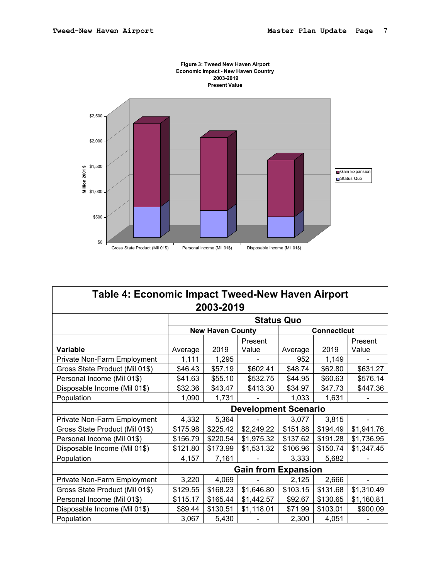

| Table 4: Economic Impact Tweed-New Haven Airport |                   |                         |                             |          |                    |            |  |  |  |
|--------------------------------------------------|-------------------|-------------------------|-----------------------------|----------|--------------------|------------|--|--|--|
|                                                  |                   | 2003-2019               |                             |          |                    |            |  |  |  |
|                                                  | <b>Status Quo</b> |                         |                             |          |                    |            |  |  |  |
|                                                  |                   | <b>New Haven County</b> |                             |          | <b>Connecticut</b> |            |  |  |  |
|                                                  |                   |                         | Present                     |          |                    | Present    |  |  |  |
| <b>Variable</b>                                  | Average           | 2019                    | Value                       | Average  | 2019               | Value      |  |  |  |
| Private Non-Farm Employment                      | 1,111             | 1,295                   |                             | 952      | 1,149              |            |  |  |  |
| Gross State Product (Mil 01\$)                   | \$46.43           | \$57.19                 | \$602.41                    | \$48.74  | \$62.80            | \$631.27   |  |  |  |
| Personal Income (Mil 01\$)                       | \$41.63           | \$55.10                 | \$532.75                    | \$44.95  | \$60.63            | \$576.14   |  |  |  |
| Disposable Income (Mil 01\$)                     | \$32.36           | \$43.47                 | \$413.30                    | \$34.97  | \$47.73            | \$447.36   |  |  |  |
| Population                                       | 1,090             | 1,731                   |                             | 1,033    | 1,631              |            |  |  |  |
|                                                  |                   |                         | <b>Development Scenario</b> |          |                    |            |  |  |  |
| Private Non-Farm Employment                      | 4,332             | 5,364                   |                             | 3,077    | 3,815              |            |  |  |  |
| Gross State Product (Mil 01\$)                   | \$175.98          | \$225.42                | \$2,249.22                  | \$151.88 | \$194.49           | \$1,941.76 |  |  |  |
| Personal Income (Mil 01\$)                       | \$156.79          | \$220.54                | \$1,975.32                  | \$137.62 | \$191.28           | \$1,736.95 |  |  |  |
| Disposable Income (Mil 01\$)                     | \$121.80          | \$173.99                | \$1,531.32                  | \$106.96 | \$150.74           | \$1,347.45 |  |  |  |
| Population                                       | 4,157             | 7,161                   |                             | 3,333    | 5,682              |            |  |  |  |
|                                                  |                   |                         | <b>Gain from Expansion</b>  |          |                    |            |  |  |  |
| Private Non-Farm Employment                      | 3,220             | 4,069                   |                             | 2,125    | 2,666              |            |  |  |  |
| Gross State Product (Mil 01\$)                   | \$129.55          | \$168.23                | \$1,646.80                  | \$103.15 | \$131.68           | \$1,310.49 |  |  |  |
| Personal Income (Mil 01\$)                       | \$115.17          | \$165.44                | \$1,442.57                  | \$92.67  | \$130.65           | \$1,160.81 |  |  |  |
| Disposable Income (Mil 01\$)                     | \$89.44           | \$130.51                | \$1,118.01                  | \$71.99  | \$103.01           | \$900.09   |  |  |  |
| Population                                       | 3,067             | 5,430                   |                             | 2,300    | 4,051              |            |  |  |  |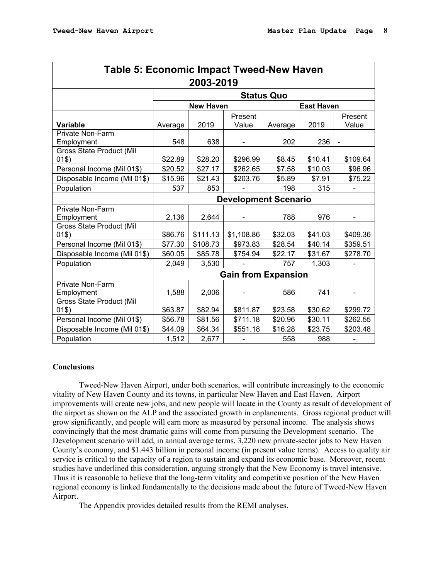| <b>Table 5: Economic Impact Tweed-New Haven</b> |         |                   |                             |                   |         |                  |
|-------------------------------------------------|---------|-------------------|-----------------------------|-------------------|---------|------------------|
|                                                 |         | 2003-2019         |                             |                   |         |                  |
|                                                 |         |                   |                             | <b>Status Quo</b> |         |                  |
|                                                 |         | <b>East Haven</b> |                             |                   |         |                  |
| Variable                                        | Average | 2019              | Present<br>Value            | Average           | 2019    | Present<br>Value |
| <b>Private Non-Farm</b>                         |         |                   |                             |                   |         |                  |
| Employment<br>Gross State Product (Mil          | 548     | 638               |                             | 202               | 236     |                  |
| 01\$)                                           | \$22.89 | \$28.20           | \$296.99                    | \$8.45            | \$10.41 | \$109.64         |
| Personal Income (Mil 01\$)                      | \$20.52 | \$27.17           | \$262.65                    | \$7.58            | \$10.03 | \$96.96          |
| Disposable Income (Mil 01\$)                    | \$15.96 | \$21.43           | \$203.76                    | \$5.89            | \$7.91  | \$75.22          |
| Population                                      | 537     | 853               |                             | 198               | 315     |                  |
|                                                 |         |                   | <b>Development Scenario</b> |                   |         |                  |
| <b>Private Non-Farm</b>                         |         |                   |                             |                   |         |                  |
| Employment                                      | 2,136   | 2,644             |                             | 788               | 976     |                  |
| Gross State Product (Mil                        |         |                   |                             |                   |         |                  |
| 01\$)                                           | \$86.76 | \$111.13          | \$1,108.86                  | \$32.03           | \$41.03 | \$409.36         |
| Personal Income (Mil 01\$)                      | \$77.30 | \$108.73          | \$973.83                    | \$28.54           | \$40.14 | \$359.51         |
| Disposable Income (Mil 01\$)                    | \$60.05 | \$85.78           | \$754.94                    | \$22.17           | \$31.67 | \$278.70         |
| Population                                      | 2,049   | 3,530             |                             | 757               | 1,303   |                  |
|                                                 |         |                   | <b>Gain from Expansion</b>  |                   |         |                  |
| Private Non-Farm                                |         |                   |                             |                   |         |                  |
| Employment                                      | 1,588   | 2,006             |                             | 586               | 741     |                  |
| Gross State Product (Mil<br>01\$)               | \$63.87 | \$82.94           | \$811.87                    | \$23.58           | \$30.62 | \$299.72         |
| Personal Income (Mil 01\$)                      | \$56.78 | \$81.56           | \$711.18                    | \$20.96           | \$30.11 | \$262.55         |
| Disposable Income (Mil 01\$)                    | \$44.09 | \$64.34           | \$551.18                    | \$16.28           | \$23.75 | \$203.48         |
| Population                                      | 1,512   | 2,677             |                             | 558               | 988     |                  |

#### **Conclusions**

Tweed-New Haven Airport, under both scenarios, will contribute increasingly to the economic vitality of New Haven County and its towns, in particular New Haven and East Haven. Airport improvements will create new jobs, and new people will locate in the County as result of development of the airport as shown on the ALP and the associated growth in enplanements. Gross regional product will grow significantly, and people will earn more as measured by personal income. The analysis shows convincingly that the most dramatic gains will come from pursuing the Development scenario. The Development scenario will add, in annual average terms, 3,220 new private-sector jobs to New Haven County's economy, and \$1.443 billion in personal income (in present value terms). Access to quality air service is critical to the capacity of a region to sustain and expand its economic base. Moreover, recent studies have underlined this consideration, arguing strongly that the New Economy is travel intensive. Thus it is reasonable to believe that the long-term vitality and competitive position of the New Haven regional economy is linked fundamentally to the decisions made about the future of Tweed-New Haven Airport.

The Appendix provides detailed results from the REMI analyses.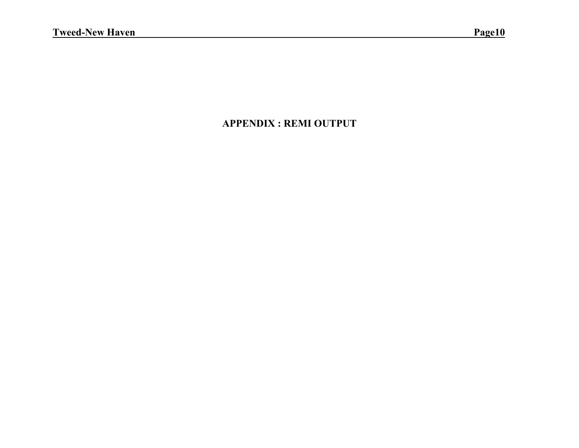## **APPENDIX : REMI OUTPUT**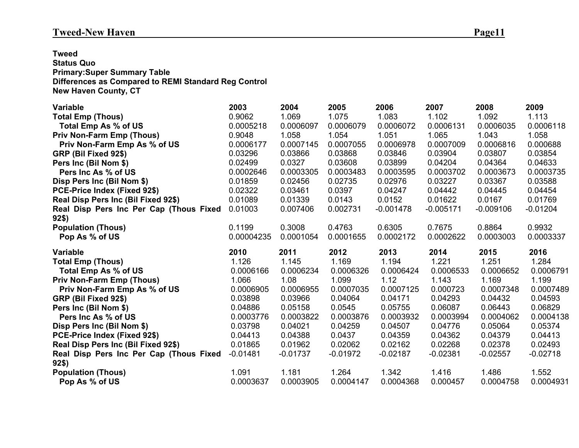**Tweed Status Quo Primary:Super Summary Table Differences as Compared to REMI Standard Reg Control New Haven County, CT**

| <b>Variable</b>                                  | 2003               | 2004       | 2005       | 2006               | 2007        | 2008        | 2009       |
|--------------------------------------------------|--------------------|------------|------------|--------------------|-------------|-------------|------------|
| <b>Total Emp (Thous)</b>                         | 0.9062             | 1.069      | 1.075      | 1.083              | 1.102       | 1.092       | 1.113      |
| Total Emp As % of US                             | 0.0005218          | 0.0006097  | 0.0006079  | 0.0006072          | 0.0006131   | 0.0006035   | 0.0006118  |
| <b>Priv Non-Farm Emp (Thous)</b>                 | 0.9048             | 1.058      | 1.054      | 1.051              | 1.065       | 1.043       | 1.058      |
| Priv Non-Farm Emp As % of US                     | 0.0006177          | 0.0007145  | 0.0007055  | 0.0006978          | 0.0007009   | 0.0006816   | 0.000688   |
| GRP (Bil Fixed 92\$)                             | 0.03296            | 0.03866    | 0.03868    | 0.03846            | 0.03904     | 0.03807     | 0.03854    |
| Pers Inc (Bil Nom \$)                            | 0.02499            | 0.0327     | 0.03608    | 0.03899            | 0.04204     | 0.04364     | 0.04633    |
| Pers Inc As % of US                              | 0.0002646          | 0.0003305  | 0.0003483  | 0.0003595          | 0.0003702   | 0.0003673   | 0.0003735  |
| Disp Pers Inc (Bil Nom \$)                       | 0.01859            | 0.02456    | 0.02735    | 0.02976            | 0.03227     | 0.03367     | 0.03588    |
| PCE-Price Index (Fixed 92\$)                     | 0.02322            | 0.03461    | 0.0397     | 0.04247            | 0.04442     | 0.04445     | 0.04454    |
| Real Disp Pers Inc (Bil Fixed 92\$)              | 0.01089            | 0.01339    | 0.0143     | 0.0152             | 0.01622     | 0.0167      | 0.01769    |
| Real Disp Pers Inc Per Cap (Thous Fixed          | 0.01003            | 0.007406   | 0.002731   | $-0.001478$        | $-0.005171$ | $-0.009106$ | $-0.01204$ |
| $92\$                                            |                    |            |            |                    |             |             |            |
| <b>Population (Thous)</b>                        | 0.1199             | 0.3008     | 0.4763     | 0.6305             | 0.7675      | 0.8864      | 0.9932     |
| Pop As % of US                                   | 0.00004235         | 0.0001054  | 0.0001655  | 0.0002172          | 0.0002622   | 0.0003003   | 0.0003337  |
|                                                  |                    |            |            |                    |             |             |            |
| <b>Variable</b>                                  | 2010               | 2011       | 2012       | 2013               | 2014        | 2015        | 2016       |
|                                                  | 1.126              | 1.145      | 1.169      | 1.194              | 1.221       | 1.251       | 1.284      |
| <b>Total Emp (Thous)</b><br>Total Emp As % of US | 0.0006166          | 0.0006234  | 0.0006326  | 0.0006424          | 0.0006533   | 0.0006652   | 0.0006791  |
| <b>Priv Non-Farm Emp (Thous)</b>                 | 1.066              | 1.08       | 1.099      | 1.12               | 1.143       | 1.169       | 1.199      |
| Priv Non-Farm Emp As % of US                     | 0.0006905          | 0.0006955  | 0.0007035  | 0.0007125          | 0.000723    | 0.0007348   | 0.0007489  |
| GRP (Bil Fixed 92\$)                             | 0.03898            | 0.03966    | 0.04064    | 0.04171            | 0.04293     | 0.04432     | 0.04593    |
| Pers Inc (Bil Nom \$)                            | 0.04886            | 0.05158    | 0.0545     | 0.05755            | 0.06087     | 0.06443     | 0.06829    |
| Pers Inc As % of US                              | 0.0003776          | 0.0003822  | 0.0003876  | 0.0003932          | 0.0003994   | 0.0004062   | 0.0004138  |
| Disp Pers Inc (Bil Nom \$)                       | 0.03798            | 0.04021    | 0.04259    | 0.04507            | 0.04776     | 0.05064     | 0.05374    |
| PCE-Price Index (Fixed 92\$)                     | 0.04413            | 0.04388    | 0.0437     | 0.04359            | 0.04362     | 0.04379     | 0.04413    |
| Real Disp Pers Inc (Bil Fixed 92\$)              | 0.01865            | 0.01962    | 0.02062    | 0.02162            | 0.02268     | 0.02378     | 0.02493    |
| Real Disp Pers Inc Per Cap (Thous Fixed          | $-0.01481$         | $-0.01737$ | $-0.01972$ | $-0.02187$         | $-0.02381$  | $-0.02557$  | $-0.02718$ |
| $92\$                                            |                    |            |            |                    |             |             |            |
| <b>Population (Thous)</b>                        | 1.091<br>0.0003637 | 1.181      | 1.264      | 1.342<br>0.0004368 | 1.416       | 1.486       | 1.552      |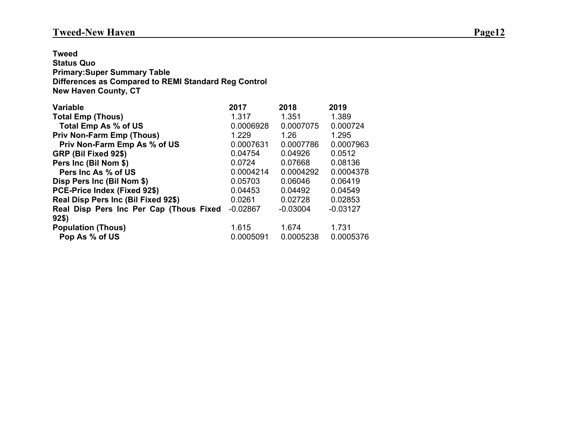### **Tweed-New Haven** Page12

**Tweed Status Quo Primary:Super Summary Table Differences as Compared to REMI Standard Reg Control New Haven County, CT**

| <b>Variable</b>                         | 2017       | 2018       | 2019       |
|-----------------------------------------|------------|------------|------------|
| <b>Total Emp (Thous)</b>                | 1.317      | 1.351      | 1.389      |
| Total Emp As % of US                    | 0.0006928  | 0.0007075  | 0.000724   |
| <b>Priv Non-Farm Emp (Thous)</b>        | 1.229      | 1.26       | 1.295      |
| Priv Non-Farm Emp As % of US            | 0.0007631  | 0.0007786  | 0.0007963  |
| GRP (Bil Fixed 92\$)                    | 0.04754    | 0.04926    | 0.0512     |
| Pers Inc (Bil Nom \$)                   | 0.0724     | 0.07668    | 0.08136    |
| Pers Inc As % of US                     | 0.0004214  | 0.0004292  | 0.0004378  |
| Disp Pers Inc (Bil Nom \$)              | 0.05703    | 0.06046    | 0.06419    |
| PCE-Price Index (Fixed 92\$)            | 0.04453    | 0.04492    | 0.04549    |
| Real Disp Pers Inc (Bil Fixed 92\$)     | 0.0261     | 0.02728    | 0.02853    |
| Real Disp Pers Inc Per Cap (Thous Fixed | $-0.02867$ | $-0.03004$ | $-0.03127$ |
| 92\$)                                   |            |            |            |
| <b>Population (Thous)</b>               | 1.615      | 1.674      | 1.731      |
| Pop As % of US                          | 0.0005091  | 0.0005238  | 0.0005376  |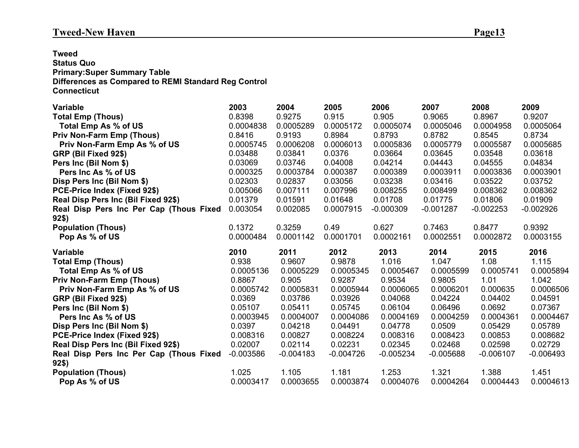### **Tweed-New Haven** Page13

**Tweed Status Quo Primary:Super Summary Table Differences as Compared to REMI Standard Reg Control Connecticut**

| <b>Variable</b>                         | 2003        | 2004        | 2005        | 2006        | 2007        | 2008        | 2009        |
|-----------------------------------------|-------------|-------------|-------------|-------------|-------------|-------------|-------------|
| <b>Total Emp (Thous)</b>                | 0.8398      | 0.9275      | 0.915       | 0.905       | 0.9065      | 0.8967      | 0.9207      |
| Total Emp As % of US                    | 0.0004838   | 0.0005289   | 0.0005172   | 0.0005074   | 0.0005046   | 0.0004958   | 0.0005064   |
| <b>Priv Non-Farm Emp (Thous)</b>        | 0.8416      | 0.9193      | 0.8984      | 0.8793      | 0.8782      | 0.8545      | 0.8734      |
| Priv Non-Farm Emp As % of US            | 0.0005745   | 0.0006208   | 0.0006013   | 0.0005836   | 0.0005779   | 0.0005587   | 0.0005685   |
| GRP (Bil Fixed 92\$)                    | 0.03488     | 0.03841     | 0.0376      | 0.03664     | 0.03645     | 0.03548     | 0.03618     |
| Pers Inc (Bil Nom \$)                   | 0.03069     | 0.03746     | 0.04008     | 0.04214     | 0.04443     | 0.04555     | 0.04834     |
| Pers Inc As % of US                     | 0.000325    | 0.0003784   | 0.000387    | 0.000389    | 0.0003911   | 0.0003836   | 0.0003901   |
| Disp Pers Inc (Bil Nom \$)              | 0.02303     | 0.02837     | 0.03056     | 0.03238     | 0.03416     | 0.03522     | 0.03752     |
| <b>PCE-Price Index (Fixed 92\$)</b>     | 0.005066    | 0.007111    | 0.007996    | 0.008255    | 0.008499    | 0.008362    | 0.008362    |
| Real Disp Pers Inc (Bil Fixed 92\$)     | 0.01379     | 0.01591     | 0.01648     | 0.01708     | 0.01775     | 0.01806     | 0.01909     |
| Real Disp Pers Inc Per Cap (Thous Fixed | 0.003054    | 0.002085    | 0.0007915   | $-0.000309$ | $-0.001287$ | $-0.002253$ | $-0.002926$ |
| 92\$)                                   |             |             |             |             |             |             |             |
| <b>Population (Thous)</b>               | 0.1372      | 0.3259      | 0.49        | 0.627       | 0.7463      | 0.8477      | 0.9392      |
| Pop As % of US                          | 0.0000484   | 0.0001142   | 0.0001701   | 0.0002161   | 0.0002551   | 0.0002872   | 0.0003155   |
|                                         |             |             |             |             |             |             |             |
| <b>Variable</b>                         | 2010        | 2011        | 2012        | 2013        | 2014        | 2015        | 2016        |
| <b>Total Emp (Thous)</b>                | 0.938       | 0.9607      | 0.9878      | 1.016       | 1.047       | 1.08        | 1.115       |
| Total Emp As % of US                    | 0.0005136   | 0.0005229   | 0.0005345   | 0.0005467   | 0.0005599   | 0.0005741   | 0.0005894   |
| <b>Priv Non-Farm Emp (Thous)</b>        | 0.8867      | 0.905       | 0.9287      | 0.9534      | 0.9805      | 1.01        | 1.042       |
| Priv Non-Farm Emp As % of US            | 0.0005742   | 0.0005831   | 0.0005944   | 0.0006065   | 0.0006201   | 0.000635    | 0.0006506   |
| GRP (Bil Fixed 92\$)                    | 0.0369      | 0.03786     | 0.03926     | 0.04068     | 0.04224     | 0.04402     | 0.04591     |
| Pers Inc (Bil Nom \$)                   | 0.05107     | 0.05411     | 0.05745     | 0.06104     | 0.06496     | 0.0692      | 0.07367     |
| Pers Inc As % of US                     | 0.0003945   | 0.0004007   | 0.0004086   | 0.0004169   | 0.0004259   | 0.0004361   | 0.0004467   |
| Disp Pers Inc (Bil Nom \$)              | 0.0397      | 0.04218     | 0.04491     | 0.04778     | 0.0509      | 0.05429     | 0.05789     |
| PCE-Price Index (Fixed 92\$)            | 0.008316    | 0.00827     | 0.008224    | 0.008316    | 0.008423    | 0.00853     | 0.008682    |
| Real Disp Pers Inc (Bil Fixed 92\$)     | 0.02007     | 0.02114     | 0.02231     | 0.02345     | 0.02468     | 0.02598     | 0.02729     |
| Real Disp Pers Inc Per Cap (Thous Fixed | $-0.003586$ | $-0.004183$ | $-0.004726$ | $-0.005234$ | $-0.005688$ | $-0.006107$ | $-0.006493$ |
| 92\$)                                   |             |             |             |             |             |             |             |
| <b>Population (Thous)</b>               | 1.025       | 1.105       | 1.181       | 1.253       | 1.321       | 1.388       | 1.451       |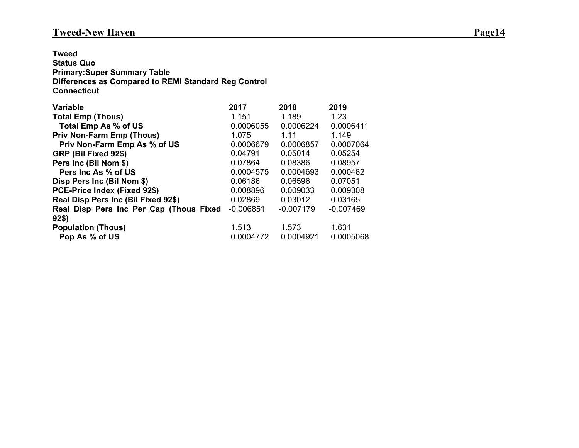**Tweed Status Quo Primary:Super Summary Table Differences as Compared to REMI Standard Reg Control Connecticut**

| <b>Variable</b>                         | 2017        | 2018        | 2019        |
|-----------------------------------------|-------------|-------------|-------------|
| <b>Total Emp (Thous)</b>                | 1.151       | 1.189       | 1.23        |
| Total Emp As % of US                    | 0.0006055   | 0.0006224   | 0.0006411   |
| <b>Priv Non-Farm Emp (Thous)</b>        | 1.075       | 1 1 1       | 1.149       |
| Priv Non-Farm Emp As % of US            | 0.0006679   | 0.0006857   | 0.0007064   |
| GRP (Bil Fixed 92\$)                    | 0.04791     | 0.05014     | 0.05254     |
| Pers Inc (Bil Nom \$)                   | 0.07864     | 0.08386     | 0.08957     |
| Pers Inc As % of US                     | 0.0004575   | 0.0004693   | 0.000482    |
| Disp Pers Inc (Bil Nom \$)              | 0.06186     | 0.06596     | 0.07051     |
| PCE-Price Index (Fixed 92\$)            | 0.008896    | 0.009033    | 0.009308    |
| Real Disp Pers Inc (Bil Fixed 92\$)     | 0.02869     | 0.03012     | 0.03165     |
| Real Disp Pers Inc Per Cap (Thous Fixed | $-0.006851$ | $-0.007179$ | $-0.007469$ |
| 92\$)                                   |             |             |             |
| <b>Population (Thous)</b>               | 1.513       | 1.573       | 1.631       |
| Pop As % of US                          | 0.0004772   | 0.0004921   | 0.0005068   |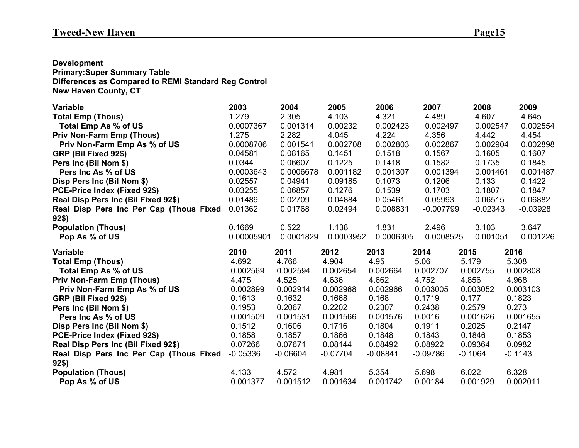**Development Primary:Super Summary Table Differences as Compared to REMI Standard Reg Control New Haven County, CT**

| <b>Variable</b>                             | 2003              | 2004              | 2005              | 2006              | 2007             | 2008              | 2009              |
|---------------------------------------------|-------------------|-------------------|-------------------|-------------------|------------------|-------------------|-------------------|
| <b>Total Emp (Thous)</b>                    | 1.279             | 2.305             | 4.103             | 4.321             | 4.489            | 4.607             | 4.645             |
| Total Emp As % of US                        | 0.0007367         | 0.001314          | 0.00232           | 0.002423          | 0.002497         | 0.002547          | 0.002554          |
| <b>Priv Non-Farm Emp (Thous)</b>            | 1.275             | 2.282             | 4.045             | 4.224             | 4.356            | 4.442             | 4.454             |
| Priv Non-Farm Emp As % of US                | 0.0008706         | 0.001541          | 0.002708          | 0.002803          | 0.002867         | 0.002904          | 0.002898          |
| GRP (Bil Fixed 92\$)                        | 0.04581           | 0.08165           | 0.1451            | 0.1518            | 0.1567           | 0.1605            | 0.1607            |
| Pers Inc (Bil Nom \$)                       | 0.0344            | 0.06607           | 0.1225            | 0.1418            | 0.1582           | 0.1735            | 0.1845            |
| Pers Inc As % of US                         | 0.0003643         | 0.0006678         | 0.001182          | 0.001307          | 0.001394         | 0.001461          | 0.001487          |
| Disp Pers Inc (Bil Nom \$)                  | 0.02557           | 0.04941           | 0.09185           | 0.1073            | 0.1206           | 0.133             | 0.1422            |
| PCE-Price Index (Fixed 92\$)                | 0.03255           | 0.06857           | 0.1276            | 0.1539            | 0.1703           | 0.1807            | 0.1847            |
| Real Disp Pers Inc (Bil Fixed 92\$)         | 0.01489           | 0.02709           | 0.04884           | 0.05461           | 0.05993          | 0.06515           | 0.06882           |
| Real Disp Pers Inc Per Cap (Thous Fixed     | 0.01362           | 0.01768           | 0.02494           | 0.008831          | $-0.007799$      | $-0.02343$        | $-0.03928$        |
| $92\$                                       |                   |                   |                   |                   |                  |                   |                   |
| <b>Population (Thous)</b>                   | 0.1669            | 0.522             | 1.138             | 1.831             | 2.496            | 3.103             | 3.647             |
| Pop As % of US                              | 0.00005901        | 0.0001829         | 0.0003952         | 0.0006305         | 0.0008525        | 0.001051          | 0.001226          |
|                                             |                   |                   |                   |                   |                  |                   |                   |
| <b>Variable</b>                             | 2010              | 2011              | 2012              | 2013              | 2014             | 2015              | 2016              |
| <b>Total Emp (Thous)</b>                    | 4.692             | 4.766             | 4.904             | 4.95              | 5.06             | 5.179             | 5.308             |
| Total Emp As % of US                        | 0.002569          | 0.002594          | 0.002654          | 0.002664          | 0.002707         | 0.002755          | 0.002808          |
| <b>Priv Non-Farm Emp (Thous)</b>            | 4.475             | 4.525             | 4.636             | 4.662             | 4.752            | 4.856             | 4.968             |
| Priv Non-Farm Emp As % of US                | 0.002899          | 0.002914          | 0.002968          | 0.002966          | 0.003005         | 0.003052          | 0.003103          |
| GRP (Bil Fixed 92\$)                        | 0.1613            | 0.1632            | 0.1668            | 0.168             | 0.1719           | 0.177             | 0.1823            |
| Pers Inc (Bil Nom \$)                       | 0.1953            | 0.2067            | 0.2202            | 0.2307            | 0.2438           | 0.2579            | 0.273             |
| Pers Inc As % of US                         | 0.001509          | 0.001531          | 0.001566          | 0.001576          | 0.0016           | 0.001626          | 0.001655          |
| Disp Pers Inc (Bil Nom \$)                  | 0.1512            | 0.1606            | 0.1716            | 0.1804            | 0.1911           | 0.2025            | 0.2147            |
| PCE-Price Index (Fixed 92\$)                | 0.1858            | 0.1857            | 0.1866            | 0.1848            | 0.1843           | 0.1846            | 0.1853            |
| Real Disp Pers Inc (Bil Fixed 92\$)         | 0.07266           | 0.07671           | 0.08144           | 0.08492           | 0.08922          | 0.09364           | 0.0982            |
| Real Disp Pers Inc Per Cap (Thous Fixed     | $-0.05336$        | $-0.06604$        | $-0.07704$        | $-0.08841$        | $-0.09786$       | $-0.1064$         | $-0.1143$         |
| $92\$                                       |                   |                   |                   |                   |                  |                   |                   |
| <b>Population (Thous)</b><br>Pop As % of US | 4.133<br>0.001377 | 4.572<br>0.001512 | 4.981<br>0.001634 | 5.354<br>0.001742 | 5.698<br>0.00184 | 6.022<br>0.001929 | 6.328<br>0.002011 |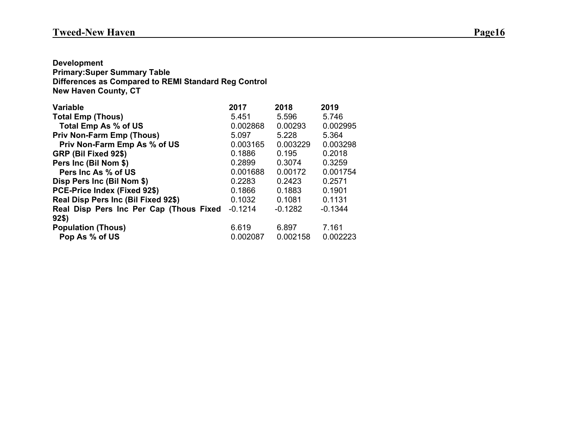**Development Primary:Super Summary Table Differences as Compared to REMI Standard Reg Control New Haven County, CT**

| <b>Variable</b>                         | 2017      | 2018      | 2019      |
|-----------------------------------------|-----------|-----------|-----------|
| <b>Total Emp (Thous)</b>                | 5.451     | 5.596     | 5.746     |
| Total Emp As % of US                    | 0.002868  | 0.00293   | 0.002995  |
| <b>Priv Non-Farm Emp (Thous)</b>        | 5.097     | 5.228     | 5.364     |
| Priv Non-Farm Emp As % of US            | 0.003165  | 0.003229  | 0.003298  |
| GRP (Bil Fixed 92\$)                    | 0.1886    | 0.195     | 0.2018    |
| Pers Inc (Bil Nom \$)                   | 0.2899    | 0.3074    | 0.3259    |
| Pers Inc As % of US                     | 0.001688  | 0.00172   | 0.001754  |
| Disp Pers Inc (Bil Nom \$)              | 0.2283    | 0.2423    | 0.2571    |
| PCE-Price Index (Fixed 92\$)            | 0.1866    | 0.1883    | 0.1901    |
| Real Disp Pers Inc (Bil Fixed 92\$)     | 0.1032    | 0.1081    | 0.1131    |
| Real Disp Pers Inc Per Cap (Thous Fixed | $-0.1214$ | $-0.1282$ | $-0.1344$ |
| 92\$)                                   |           |           |           |
| <b>Population (Thous)</b>               | 6.619     | 6.897     | 7.161     |
| Pop As % of US                          | 0.002087  | 0.002158  | 0.002223  |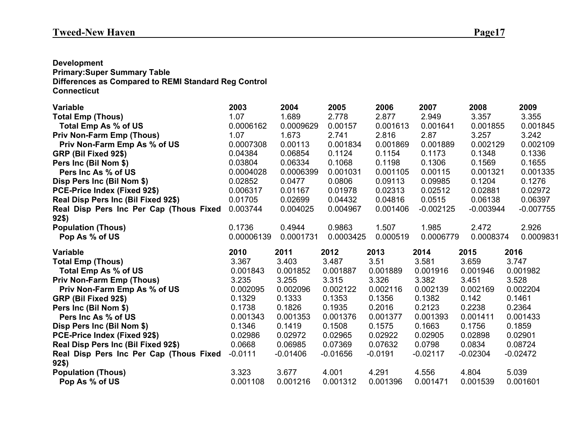### **Development**

**Primary:Super Summary Table Differences as Compared to REMI Standard Reg Control Connecticut**

| <b>Variable</b>                             | 2003              | 2004              | 2005              | 2006              | 2007              | 2008              | 2009              |
|---------------------------------------------|-------------------|-------------------|-------------------|-------------------|-------------------|-------------------|-------------------|
| <b>Total Emp (Thous)</b>                    | 1.07              | 1.689             | 2.778             | 2.877             | 2.949             | 3.357             | 3.355             |
| Total Emp As % of US                        | 0.0006162         | 0.0009629         | 0.00157           | 0.001613          | 0.001641          | 0.001855          | 0.001845          |
| <b>Priv Non-Farm Emp (Thous)</b>            | 1.07              | 1.673             | 2.741             | 2.816             | 2.87              | 3.257             | 3.242             |
| Priv Non-Farm Emp As % of US                | 0.0007308         | 0.00113           | 0.001834          | 0.001869          | 0.001889          | 0.002129          | 0.002109          |
| GRP (Bil Fixed 92\$)                        | 0.04384           | 0.06854           | 0.1124            | 0.1154            | 0.1173            | 0.1348            | 0.1336            |
| Pers Inc (Bil Nom \$)                       | 0.03804           | 0.06334           | 0.1068            | 0.1198            | 0.1306            | 0.1569            | 0.1655            |
| Pers Inc As % of US                         | 0.0004028         | 0.0006399         | 0.001031          | 0.001105          | 0.00115           | 0.001321          | 0.001335          |
| Disp Pers Inc (Bil Nom \$)                  | 0.02852           | 0.0477            | 0.0806            | 0.09113           | 0.09985           | 0.1204            | 0.1276            |
| PCE-Price Index (Fixed 92\$)                | 0.006317          | 0.01167           | 0.01978           | 0.02313           | 0.02512           | 0.02881           | 0.02972           |
| Real Disp Pers Inc (Bil Fixed 92\$)         | 0.01705           | 0.02699           | 0.04432           | 0.04816           | 0.0515            | 0.06138           | 0.06397           |
| Real Disp Pers Inc Per Cap (Thous Fixed     | 0.003744          | 0.004025          | 0.004967          | 0.001406          | $-0.002125$       | $-0.003944$       | $-0.007755$       |
| 92\$)                                       |                   |                   |                   |                   |                   |                   |                   |
| <b>Population (Thous)</b>                   | 0.1736            | 0.4944            | 0.9863            | 1.507             | 1.985             | 2.472             | 2.926             |
| Pop As % of US                              | 0.00006139        | 0.0001731         | 0.0003425         | 0.000519          | 0.0006779         | 0.0008374         | 0.0009831         |
|                                             |                   |                   |                   |                   |                   |                   |                   |
| <b>Variable</b>                             | 2010              | 2011              | 2012              | 2013              | 2014              | 2015              | 2016              |
| <b>Total Emp (Thous)</b>                    | 3.367             | 3.403             | 3.487             | 3.51              | 3.581             | 3.659             | 3.747             |
| Total Emp As % of US                        | 0.001843          | 0.001852          | 0.001887          | 0.001889          | 0.001916          | 0.001946          | 0.001982          |
| <b>Priv Non-Farm Emp (Thous)</b>            | 3.235             | 3.255             | 3.315             | 3.326             | 3.382             | 3.451             | 3.528             |
| Priv Non-Farm Emp As % of US                | 0.002095          | 0.002096          | 0.002122          | 0.002116          | 0.002139          | 0.002169          | 0.002204          |
| GRP (Bil Fixed 92\$)                        | 0.1329            | 0.1333            | 0.1353            | 0.1356            | 0.1382            | 0.142             | 0.1461            |
| Pers Inc (Bil Nom \$)                       | 0.1738            | 0.1826            | 0.1935            | 0.2016            | 0.2123            | 0.2238            | 0.2364            |
| Pers Inc As % of US                         | 0.001343          | 0.001353          | 0.001376          | 0.001377          | 0.001393          | 0.001411          | 0.001433          |
| Disp Pers Inc (Bil Nom \$)                  | 0.1346            | 0.1419            | 0.1508            | 0.1575            | 0.1663            | 0.1756            | 0.1859            |
| PCE-Price Index (Fixed 92\$)                | 0.02986           | 0.02972           | 0.02965           | 0.02922           | 0.02905           | 0.02898           | 0.02901           |
| Real Disp Pers Inc (Bil Fixed 92\$)         | 0.0668            | 0.06985           | 0.07369           | 0.07632           | 0.0798            | 0.0834            | 0.08724           |
| Real Disp Pers Inc Per Cap (Thous Fixed     | $-0.0111$         | $-0.01406$        | $-0.01656$        | $-0.0191$         | $-0.02117$        | $-0.02304$        | $-0.02472$        |
| $92\$                                       |                   |                   |                   |                   |                   |                   |                   |
| <b>Population (Thous)</b><br>Pop As % of US | 3.323<br>0.001108 | 3.677<br>0.001216 | 4.001<br>0.001312 | 4.291<br>0.001396 | 4.556<br>0.001471 | 4.804<br>0.001539 | 5.039<br>0.001601 |